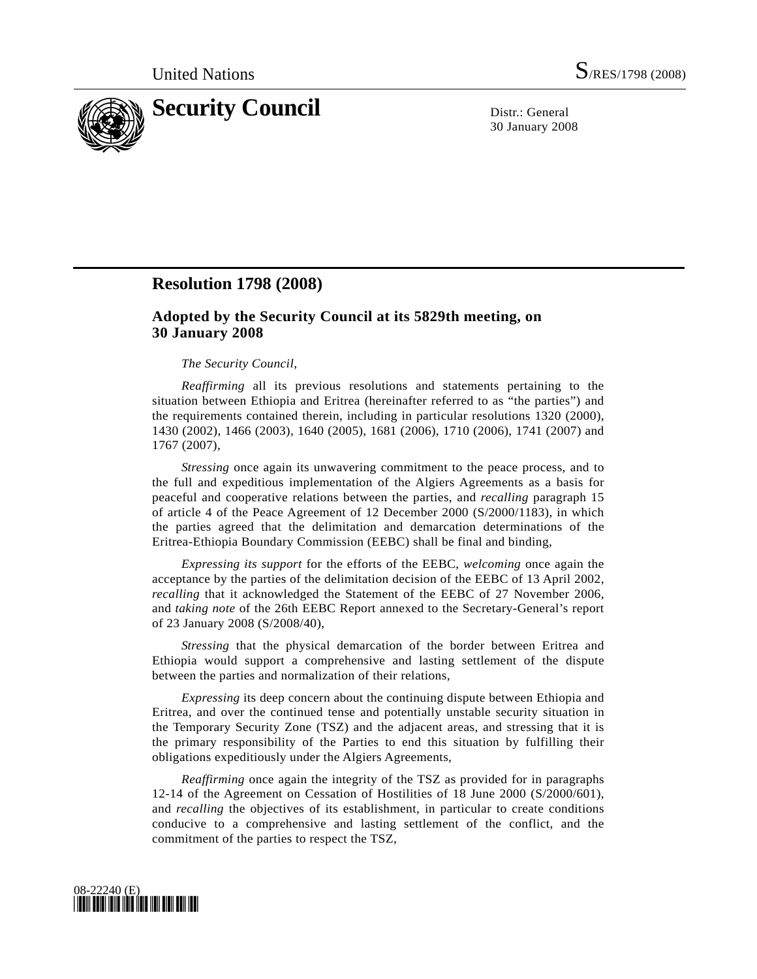

30 January 2008

## **Resolution 1798 (2008)**

## **Adopted by the Security Council at its 5829th meeting, on 30 January 2008**

## *The Security Council*,

*Reaffirming* all its previous resolutions and statements pertaining to the situation between Ethiopia and Eritrea (hereinafter referred to as "the parties") and the requirements contained therein, including in particular resolutions 1320 (2000), 1430 (2002), 1466 (2003), 1640 (2005), 1681 (2006), 1710 (2006), 1741 (2007) and 1767 (2007),

*Stressing* once again its unwavering commitment to the peace process, and to the full and expeditious implementation of the Algiers Agreements as a basis for peaceful and cooperative relations between the parties, and *recalling* paragraph 15 of article 4 of the Peace Agreement of 12 December 2000 (S/2000/1183), in which the parties agreed that the delimitation and demarcation determinations of the Eritrea-Ethiopia Boundary Commission (EEBC) shall be final and binding,

*Expressing its support* for the efforts of the EEBC, *welcoming* once again the acceptance by the parties of the delimitation decision of the EEBC of 13 April 2002, *recalling* that it acknowledged the Statement of the EEBC of 27 November 2006, and *taking note* of the 26th EEBC Report annexed to the Secretary-General's report of 23 January 2008 (S/2008/40),

*Stressing* that the physical demarcation of the border between Eritrea and Ethiopia would support a comprehensive and lasting settlement of the dispute between the parties and normalization of their relations,

*Expressing* its deep concern about the continuing dispute between Ethiopia and Eritrea, and over the continued tense and potentially unstable security situation in the Temporary Security Zone (TSZ) and the adjacent areas, and stressing that it is the primary responsibility of the Parties to end this situation by fulfilling their obligations expeditiously under the Algiers Agreements,

*Reaffirming* once again the integrity of the TSZ as provided for in paragraphs 12-14 of the Agreement on Cessation of Hostilities of 18 June 2000 (S/2000/601), and *recalling* the objectives of its establishment, in particular to create conditions conducive to a comprehensive and lasting settlement of the conflict, and the commitment of the parties to respect the TSZ,

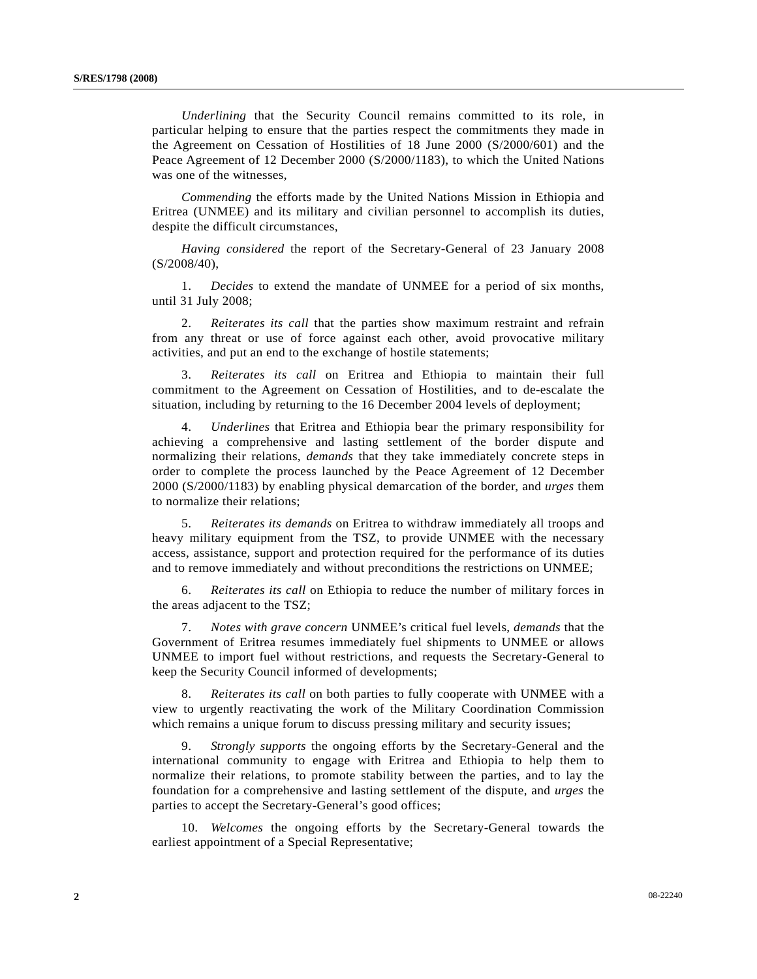*Underlining* that the Security Council remains committed to its role, in particular helping to ensure that the parties respect the commitments they made in the Agreement on Cessation of Hostilities of 18 June 2000 (S/2000/601) and the Peace Agreement of 12 December 2000 (S/2000/1183), to which the United Nations was one of the witnesses,

*Commending* the efforts made by the United Nations Mission in Ethiopia and Eritrea (UNMEE) and its military and civilian personnel to accomplish its duties, despite the difficult circumstances,

*Having considered* the report of the Secretary-General of 23 January 2008 (S/2008/40),

 1. *Decides* to extend the mandate of UNMEE for a period of six months, until 31 July 2008;

 2. *Reiterates its call* that the parties show maximum restraint and refrain from any threat or use of force against each other, avoid provocative military activities, and put an end to the exchange of hostile statements;

 3. *Reiterates its call* on Eritrea and Ethiopia to maintain their full commitment to the Agreement on Cessation of Hostilities, and to de-escalate the situation, including by returning to the 16 December 2004 levels of deployment;

 4. *Underlines* that Eritrea and Ethiopia bear the primary responsibility for achieving a comprehensive and lasting settlement of the border dispute and normalizing their relations, *demands* that they take immediately concrete steps in order to complete the process launched by the Peace Agreement of 12 December 2000 (S/2000/1183) by enabling physical demarcation of the border, and *urges* them to normalize their relations;

 5. *Reiterates its demands* on Eritrea to withdraw immediately all troops and heavy military equipment from the TSZ, to provide UNMEE with the necessary access, assistance, support and protection required for the performance of its duties and to remove immediately and without preconditions the restrictions on UNMEE;

 6. *Reiterates its call* on Ethiopia to reduce the number of military forces in the areas adjacent to the TSZ;

 7. *Notes with grave concern* UNMEE's critical fuel levels, *demands* that the Government of Eritrea resumes immediately fuel shipments to UNMEE or allows UNMEE to import fuel without restrictions, and requests the Secretary-General to keep the Security Council informed of developments;

 8. *Reiterates its call* on both parties to fully cooperate with UNMEE with a view to urgently reactivating the work of the Military Coordination Commission which remains a unique forum to discuss pressing military and security issues;

 9. *Strongly supports* the ongoing efforts by the Secretary-General and the international community to engage with Eritrea and Ethiopia to help them to normalize their relations, to promote stability between the parties, and to lay the foundation for a comprehensive and lasting settlement of the dispute, and *urges* the parties to accept the Secretary-General's good offices;

 10. *Welcomes* the ongoing efforts by the Secretary-General towards the earliest appointment of a Special Representative;